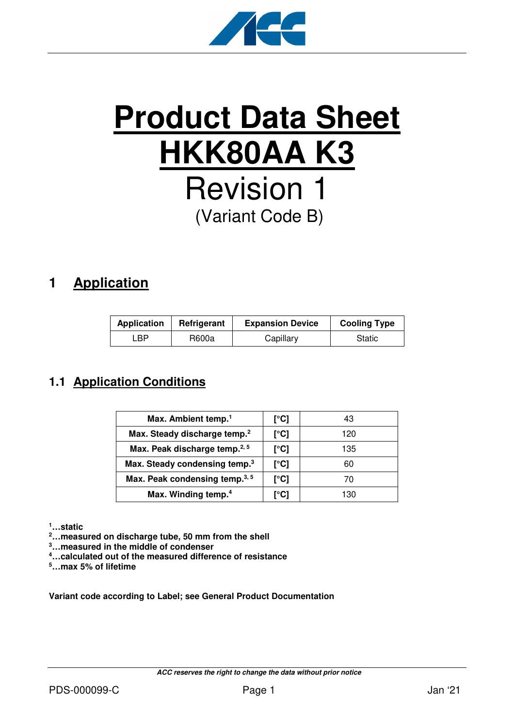

# **Product Data Sheet HKK80AA K3** Revision 1 (Variant Code B)

# **1 Application**

| <b>Application</b> | Refrigerant | <b>Expansion Device</b> | <b>Cooling Type</b> |
|--------------------|-------------|-------------------------|---------------------|
| ∟BP.               | R600a       | Capillary               | Static              |

## **1.1 Application Conditions**

| Max. Ambient temp. <sup>1</sup>            | [°C] | 43  |
|--------------------------------------------|------|-----|
| Max. Steady discharge temp. <sup>2</sup>   | [°C] | 120 |
| Max. Peak discharge temp. <sup>2, 5</sup>  | [°C] | 135 |
| Max. Steady condensing temp. <sup>3</sup>  | [°C] | 60  |
| Max. Peak condensing temp. <sup>3, 5</sup> | [°C] | 70  |
| Max. Winding temp. <sup>4</sup>            | [°C] | 130 |

**<sup>1</sup>…static** 

**<sup>2</sup>…measured on discharge tube, 50 mm from the shell** 

**<sup>3</sup>…measured in the middle of condenser** 

**<sup>4</sup>…calculated out of the measured difference of resistance** 

**<sup>5</sup>…max 5% of lifetime** 

**Variant code according to Label; see General Product Documentation**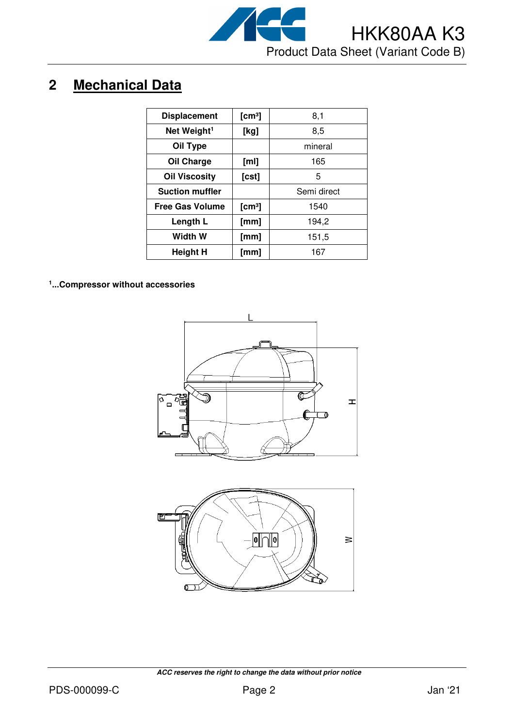

# **2 Mechanical Data**

| <b>Displacement</b>     | [cm <sup>3</sup> ] | 8,1         |
|-------------------------|--------------------|-------------|
| Net Weight <sup>1</sup> | [kg]               | 8,5         |
| Oil Type                |                    | mineral     |
| <b>Oil Charge</b>       | [ml]               | 165         |
| <b>Oil Viscosity</b>    | [cst]              | 5           |
| <b>Suction muffler</b>  |                    | Semi direct |
| <b>Free Gas Volume</b>  | [cm <sup>3</sup> ] | 1540        |
| Length L                | [mm]               | 194,2       |
| Width W                 | [mm]               | 151,5       |
| <b>Height H</b>         | [mm]               | 167         |

**1 ...Compressor without accessories**



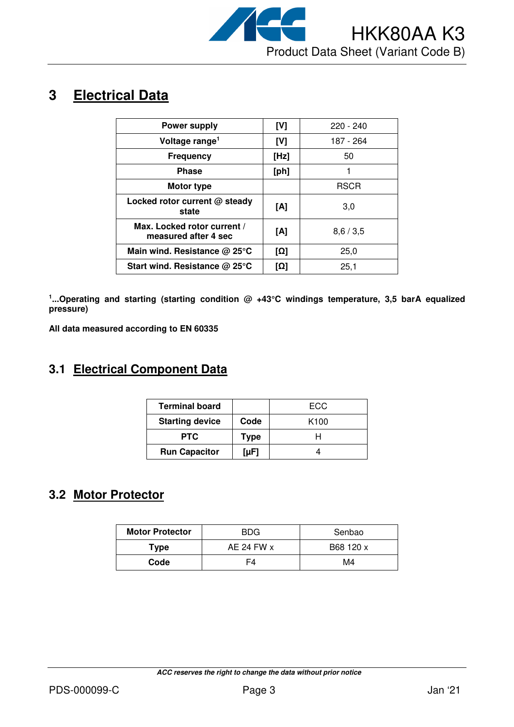

# **3 Electrical Data**

| <b>Power supply</b>                                 | [V]  | $220 - 240$ |
|-----------------------------------------------------|------|-------------|
| Voltage range <sup>1</sup>                          | [V]  | 187 - 264   |
| <b>Frequency</b>                                    | [Hz] | 50          |
| <b>Phase</b>                                        | [ph] |             |
| Motor type                                          |      | <b>RSCR</b> |
| Locked rotor current @ steady<br>state              | [A]  | 3,0         |
| Max. Locked rotor current /<br>measured after 4 sec | [A]  | 8,6/3,5     |
| Main wind. Resistance $@$ 25 $°C$                   | [Ω]  | 25,0        |
| Start wind. Resistance $@$ 25 $°C$                  | [Ω]  | 25,1        |

<sup>1</sup>...Operating and starting (starting condition @ +43°C windings temperature, 3,5 barA equalized **pressure)** 

**All data measured according to EN 60335** 

#### **3.1 Electrical Component Data**

| <b>Terminal board</b>  |      | ECC              |
|------------------------|------|------------------|
| <b>Starting device</b> | Code | K <sub>100</sub> |
| <b>PTC</b>             | Type |                  |
| <b>Run Capacitor</b>   | [µF] |                  |

#### **3.2 Motor Protector**

| <b>Motor Protector</b> | BDG          | Senbao    |  |
|------------------------|--------------|-----------|--|
| Type                   | AE 24 FW $x$ | B68 120 x |  |
| Code                   |              | M4        |  |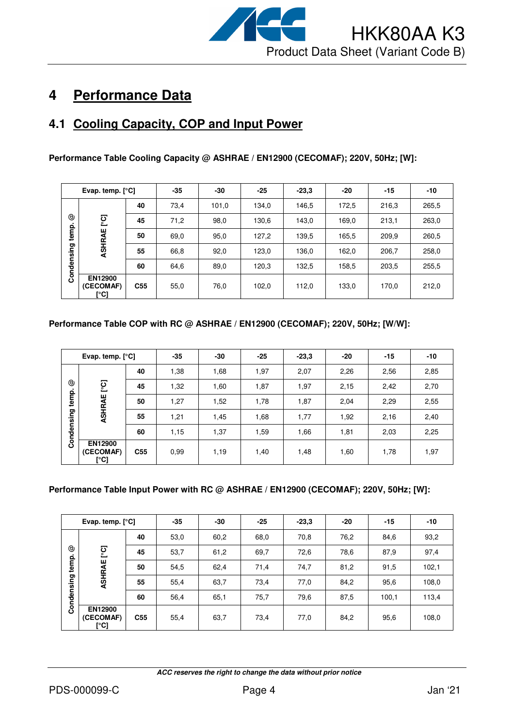

# **4 Performance Data**

### **4.1 Cooling Capacity, COP and Input Power**

**Performance Table Cooling Capacity @ ASHRAE / EN12900 (CECOMAF); 220V, 50Hz; [W]:** 

|            | Evap. temp. $[°C]$                  |                 | $-35$ | -30   | $-25$ | $-23,3$ | -20   | $-15$ | -10   |
|------------|-------------------------------------|-----------------|-------|-------|-------|---------|-------|-------|-------|
|            |                                     | 40              | 73,4  | 101,0 | 134,0 | 146,5   | 172,5 | 216,3 | 265,5 |
| ☺          | ုတ္ပ                                | 45              | 71,2  | 98,0  | 130,6 | 143,0   | 169,0 | 213,1 | 263,0 |
| temp.      | ASHRAE                              | 50              | 69,0  | 95,0  | 127,2 | 139,5   | 165,5 | 209,9 | 260,5 |
| Condensing |                                     | 55              | 66,8  | 92,0  | 123,0 | 136,0   | 162,0 | 206,7 | 258,0 |
|            |                                     | 60              | 64,6  | 89,0  | 120,3 | 132,5   | 158,5 | 203,5 | 255,5 |
|            | <b>EN12900</b><br>(CECOMAF)<br>[°C] | C <sub>55</sub> | 55,0  | 76,0  | 102,0 | 112,0   | 133,0 | 170,0 | 212,0 |

#### **Performance Table COP with RC @ ASHRAE / EN12900 (CECOMAF); 220V, 50Hz; [W/W]:**

| Evap. temp. $[°C]$ |                                     | $-35$           | $-30$ | $-25$ | $-23,3$ | -20  | $-15$ | -10  |      |
|--------------------|-------------------------------------|-----------------|-------|-------|---------|------|-------|------|------|
|                    |                                     | 40              | 1,38  | 1,68  | 1,97    | 2,07 | 2,26  | 2,56 | 2,85 |
| ☺                  | ု့ငြ                                | 45              | 1,32  | 1,60  | 1,87    | 1,97 | 2,15  | 2,42 | 2,70 |
| temp.              | ASHRAE                              | 50              | 1,27  | 1,52  | 1,78    | 1,87 | 2,04  | 2,29 | 2,55 |
|                    |                                     | 55              | 1,21  | 1,45  | 1,68    | 1,77 | 1,92  | 2,16 | 2,40 |
| Condensing         |                                     | 60              | 1,15  | 1,37  | 1,59    | 1,66 | 1,81  | 2,03 | 2,25 |
|                    | <b>EN12900</b><br>(CECOMAF)<br>[°C] | C <sub>55</sub> | 0.99  | 1,19  | 1,40    | 1,48 | 1,60  | 1,78 | 1,97 |

#### **Performance Table Input Power with RC @ ASHRAE / EN12900 (CECOMAF); 220V, 50Hz; [W]:**

| Evap. temp. [°C] |                                     | $-35$           | -30  | $-25$ | $-23,3$ | -20  | -15  | $-10$ |       |
|------------------|-------------------------------------|-----------------|------|-------|---------|------|------|-------|-------|
|                  |                                     | 40              | 53,0 | 60,2  | 68,0    | 70,8 | 76,2 | 84,6  | 93,2  |
| ☺                | ုတ္                                 | 45              | 53,7 | 61,2  | 69,7    | 72,6 | 78,6 | 87,9  | 97,4  |
| temp.            | ASHRAE                              | 50              | 54,5 | 62,4  | 71,4    | 74,7 | 81,2 | 91,5  | 102,1 |
|                  |                                     | 55              | 55,4 | 63,7  | 73,4    | 77,0 | 84,2 | 95,6  | 108,0 |
| Condensing       |                                     | 60              | 56,4 | 65,1  | 75,7    | 79,6 | 87,5 | 100,1 | 113,4 |
|                  | <b>EN12900</b><br>(CECOMAF)<br>[°C] | C <sub>55</sub> | 55,4 | 63,7  | 73,4    | 77,0 | 84,2 | 95,6  | 108,0 |